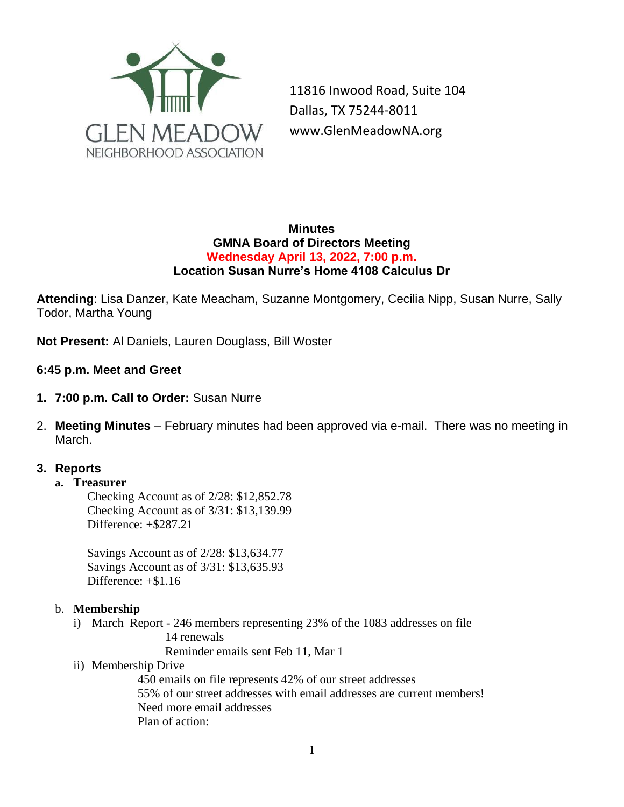

11816 Inwood Road, Suite 104 Dallas, TX 75244-8011 www.GlenMeadowNA.org

#### **Minutes GMNA Board of Directors Meeting Wednesday April 13, 2022, 7:00 p.m. Location Susan Nurre's Home 4108 Calculus Dr**

**Attending**: Lisa Danzer, Kate Meacham, Suzanne Montgomery, Cecilia Nipp, Susan Nurre, Sally Todor, Martha Young

**Not Present:** Al Daniels, Lauren Douglass, Bill Woster

**6:45 p.m. Meet and Greet**

- **1. 7:00 p.m. Call to Order:** Susan Nurre
- 2. **Meeting Minutes**  February minutes had been approved via e-mail. There was no meeting in March.

### **3. Reports**

#### **a. Treasurer**

Checking Account as of 2/28: \$12,852.78 Checking Account as of 3/31: \$13,139.99 Difference: +\$287.21

Savings Account as of 2/28: \$13,634.77 Savings Account as of 3/31: \$13,635.93 Difference: +\$1.16

#### b. **Membership**

i) March Report - 246 members representing 23% of the 1083 addresses on file 14 renewals

Reminder emails sent Feb 11, Mar 1

ii) Membership Drive

450 emails on file represents 42% of our street addresses 55% of our street addresses with email addresses are current members! Need more email addresses Plan of action: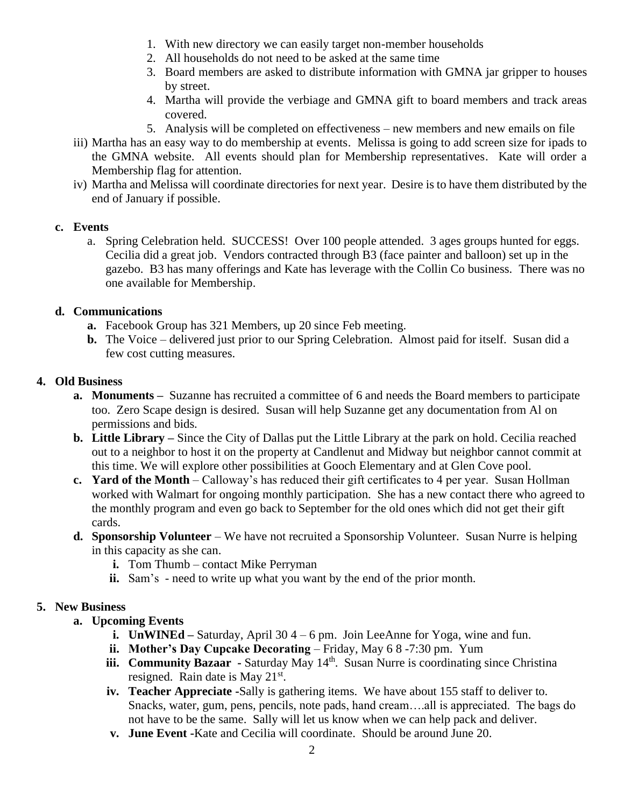- 1. With new directory we can easily target non-member households
- 2. All households do not need to be asked at the same time
- 3. Board members are asked to distribute information with GMNA jar gripper to houses by street.
- 4. Martha will provide the verbiage and GMNA gift to board members and track areas covered.
- 5. Analysis will be completed on effectiveness new members and new emails on file
- iii) Martha has an easy way to do membership at events. Melissa is going to add screen size for ipads to the GMNA website. All events should plan for Membership representatives. Kate will order a Membership flag for attention.
- iv) Martha and Melissa will coordinate directories for next year. Desire is to have them distributed by the end of January if possible.

### **c. Events**

a. Spring Celebration held. SUCCESS! Over 100 people attended. 3 ages groups hunted for eggs. Cecilia did a great job. Vendors contracted through B3 (face painter and balloon) set up in the gazebo. B3 has many offerings and Kate has leverage with the Collin Co business. There was no one available for Membership.

### **d. Communications**

- **a.** Facebook Group has 321 Members, up 20 since Feb meeting.
- **b.** The Voice delivered just prior to our Spring Celebration. Almost paid for itself. Susan did a few cost cutting measures.

### **4. Old Business**

- **a. Monuments –** Suzanne has recruited a committee of 6 and needs the Board members to participate too. Zero Scape design is desired. Susan will help Suzanne get any documentation from Al on permissions and bids.
- **b. Little Library –** Since the City of Dallas put the Little Library at the park on hold. Cecilia reached out to a neighbor to host it on the property at Candlenut and Midway but neighbor cannot commit at this time. We will explore other possibilities at Gooch Elementary and at Glen Cove pool.
- **c. Yard of the Month**  Calloway's has reduced their gift certificates to 4 per year. Susan Hollman worked with Walmart for ongoing monthly participation. She has a new contact there who agreed to the monthly program and even go back to September for the old ones which did not get their gift cards.
- **d. Sponsorship Volunteer**  We have not recruited a Sponsorship Volunteer. Susan Nurre is helping in this capacity as she can.
	- **i.** Tom Thumb contact Mike Perryman
	- **ii.** Sam's need to write up what you want by the end of the prior month.

### **5. New Business**

- **a. Upcoming Events** 
	- **i. UnWINEd –** Saturday, April 30 4 6 pm. Join LeeAnne for Yoga, wine and fun.
	- **ii. Mother's Day Cupcake Decorating** Friday, May 6 8 -7:30 pm. Yum
	- **iii.** Community Bazaar Saturday May 14<sup>th</sup>. Susan Nurre is coordinating since Christina resigned. Rain date is May  $21^{st}$ .
	- **iv. Teacher Appreciate -**Sally is gathering items. We have about 155 staff to deliver to. Snacks, water, gum, pens, pencils, note pads, hand cream….all is appreciated. The bags do not have to be the same. Sally will let us know when we can help pack and deliver.
	- **v. June Event -**Kate and Cecilia will coordinate. Should be around June 20.